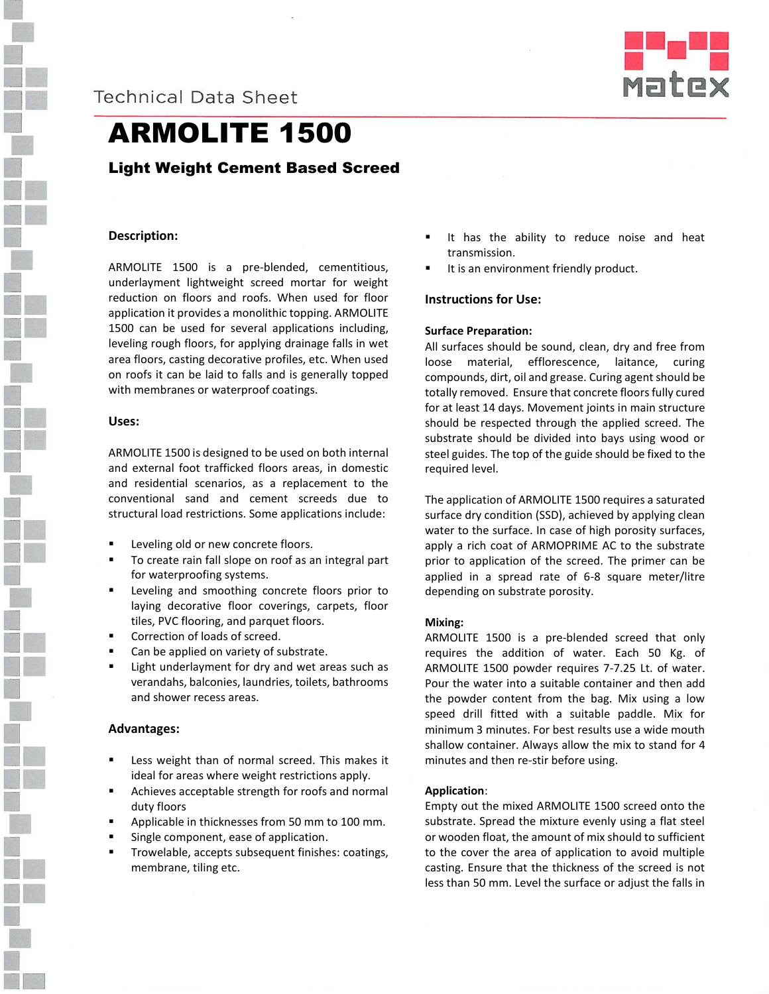



# ARMOLITE 1500

# Light Weight Cement Based Screed

# **Description:**

ARMOLITE 1500 is a pre-blended, cementitious, underlayment lightweight screed mortar for weight reduction on floors and roofs. When used for floor application it provides a monolithic topping. ARMOLITE 1500 can be used for several applications including, leveling rough floors, for applying drainage falls in wet area floors, casting decorative profiles, etc. When used on roofs it can be laid to falls and is generally topped with membranes or waterproof coatings.

### **Uses:**

ARMOLITE 1500 is designed to be used on both internal and external foot trafficked floors areas, in domestic and residential scenarios, as a replacement to the conventional sand and cement screeds due to structural load restrictions. Some applications include:

- Leveling old or new concrete floors.
- To create rain fall slope on roof as an integral part for waterproofing systems.
- Leveling and smoothing concrete floors prior to laying decorative floor coverings, carpets, floor tiles, PVC flooring, and parquet floors.
- Correction of loads of screed.
- Can be applied on variety of substrate.
- Light underlayment for dry and wet areas such as verandahs, balconies, laundries, toilets, bathrooms and shower recess areas.

### **Advantages:**

- Less weight than of normal screed. This makes it ideal for areas where weight restrictions apply.
- Achieves acceptable strength for roofs and normal duty floors
- Applicable in thicknesses from 50 mm to 100 mm.
- Single component, ease of application.
- Trowelable, accepts subsequent finishes: coatings, membrane, tiling etc.
- It has the ability to reduce noise and heat transmission.
- It is an environment friendly product.

### **Instructions for Use:**

### **Surface Preparation:**

All surfaces should be sound, clean, dry and free from loose material, efflorescence, laitance, curing compounds, dirt, oil and grease. Curing agent should be totally removed. Ensure that concrete floors fully cured for at least 14 days. Movement joints in main structure should be respected through the applied screed. The substrate should be divided into bays using wood or steel guides. The top of the guide should be fixed to the required level.

The application of ARMOLITE 1500 requires a saturated surface dry condition (SSD), achieved by applying clean water to the surface. In case of high porosity surfaces, apply a rich coat of ARMOPRIME AC to the substrate prior to application of the screed. The primer can be applied in a spread rate of 6-8 square meter/litre depending on substrate porosity.

### **Mixing:**

ARMOLITE 1500 is a pre-blended screed that only requires the addition of water. Each 50 Kg. of ARMOLITE 1500 powder requires 7-7.25 Lt. of water. Pour the water into a suitable container and then add the powder content from the bag. Mix using a low speed drill fitted with a suitable paddle. Mix for minimum 3 minutes. For best results use a wide mouth shallow container. Always allow the mix to stand for 4 minutes and then re-stir before using.

#### **Application**:

Empty out the mixed ARMOLITE 1500 screed onto the substrate. Spread the mixture evenly using a flat steel or wooden float, the amount of mix should to sufficient to the cover the area of application to avoid multiple casting. Ensure that the thickness of the screed is not less than 50 mm. Level the surface or adjust the falls in